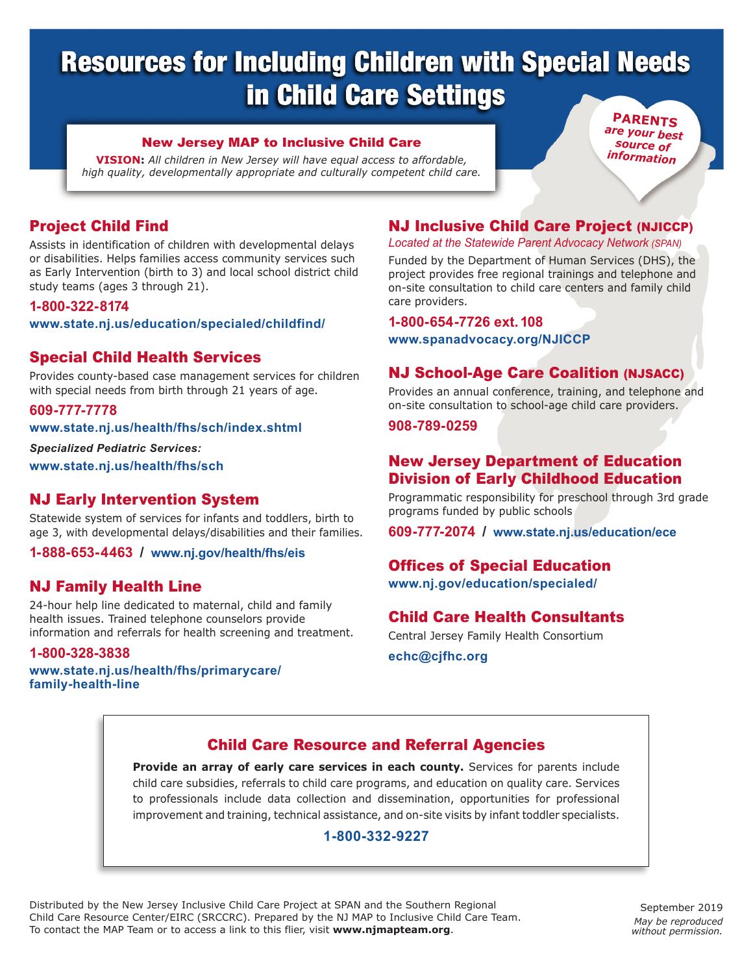# Resources for Including Children with Special Needs in Child Care Settings

#### New Jersey Map to Inclusive Child Care

**VISION:** *All children in New Jersey will have equal access to affordable, high quality, developmentally appropriate and culturally competent child care.*

**Parents** *are your best source of information*

# Project Child Find

Assists in identification of children with developmental delays or disabilities. Helps families access community services such as Early Intervention (birth to 3) and local school district child study teams (ages 3 through 21).

#### **1-800-322-8174**

**www.state.nj.us/education/specialed/childfind/**

# Special Child Health Services

Provides county-based case management services for children with special needs from birth through 21 years of age.

#### **609-777-7778**

**www.state.nj.us/health/fhs/sch/index.shtml**

*Specialized Pediatric Services:* 

**www.state.nj.us/health/fhs/sch**

# NJ Early Intervention System

Statewide system of services for infants and toddlers, birth to age 3, with developmental delays/disabilities and their families.

**1-888-653-4463 / www.nj.gov/health/fhs/eis**

# NJ Family Health Line

24-hour help line dedicated to maternal, child and family health issues. Trained telephone counselors provide information and referrals for health screening and treatment.

#### **1-800-328-3838**

**www.state.nj.us/health/fhs/primarycare/ family-health-line**

# NJ Inclusive Child Care Project (NJICCP)

*Located at the Statewide Parent Advocacy Network (SPAN)*

Funded by the Department of Human Services (DHS), the project provides free regional trainings and telephone and on-site consultation to child care centers and family child care providers.

**1-800-654-7726 ext. 108**

**www.spanadvocacy.org/NJICCP**

#### NJ School-Age Care Coalition (NJSACC)

Provides an annual conference, training, and telephone and on-site consultation to school-age child care providers.

#### **908-789-0259**

# New Jersey Department of Education Division of Early Childhood Education

Programmatic responsibility for preschool through 3rd grade programs funded by public schools

**609-777-2074 / www.state.nj.us/education/ece**

# Offices of Special Education

**www.nj.gov/education/specialed/**

# Child Care Health Consultants

Central Jersey Family Health Consortium **echc@cjfhc.org**

# Child Care Resource and Referral Agencies

**Provide an array of early care services in each county.** Services for parents include child care subsidies, referrals to child care programs, and education on quality care. Services to professionals include data collection and dissemination, opportunities for professional improvement and training, technical assistance, and on-site visits by infant toddler specialists.

#### **1-800-332-9227**

Distributed by the New Jersey Inclusive Child Care Project at SPAN and the Southern Regional Child Care Resource Center/EIRC (SRCCRC). Prepared by the NJ MAP to Inclusive Child Care Team. To contact the MAP Team or to access a link to this flier, visit **www.njmapteam.org**.

September 2019 *May be reproduced without permission.*